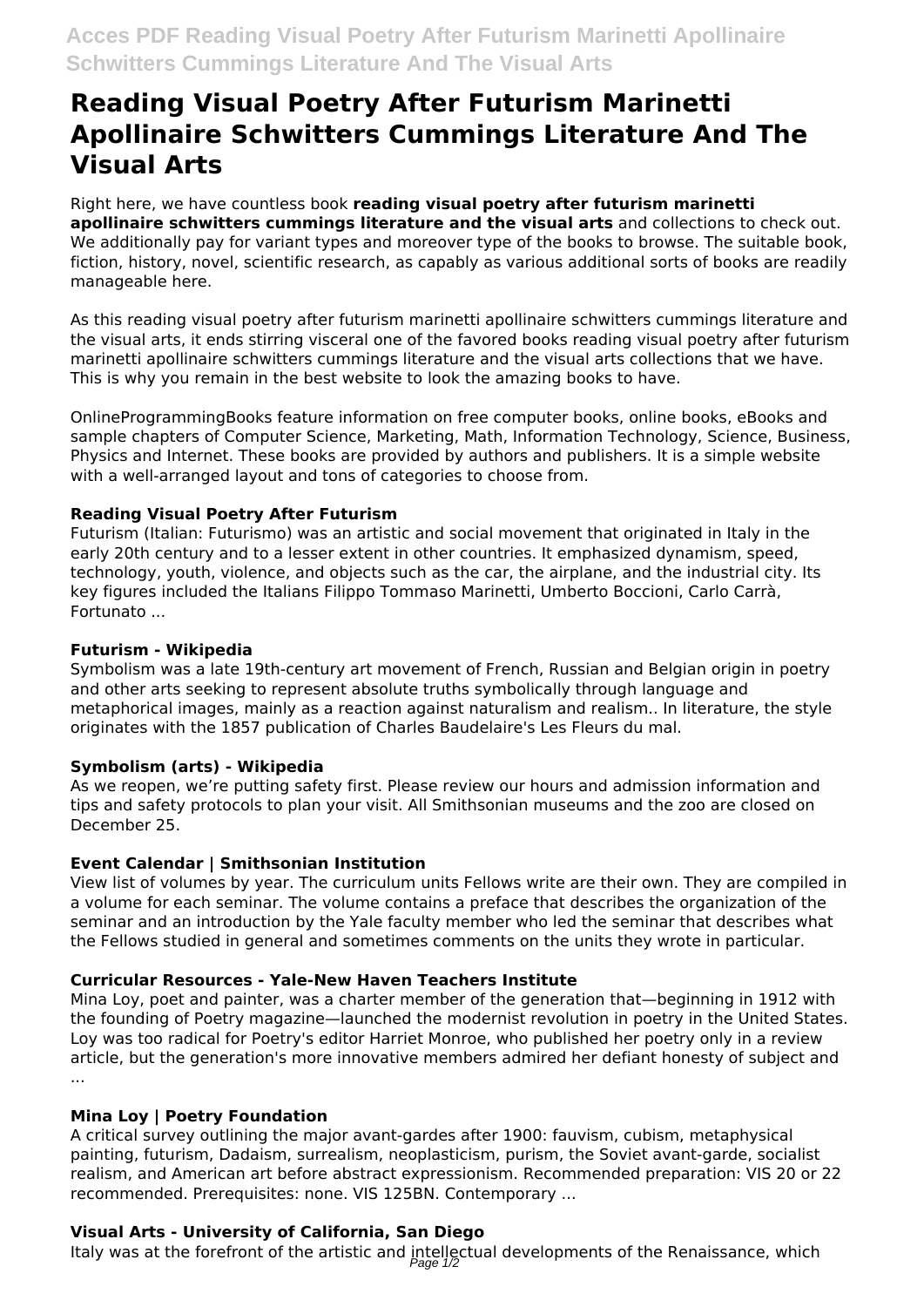# **Reading Visual Poetry After Futurism Marinetti Apollinaire Schwitters Cummings Literature And The Visual Arts**

Right here, we have countless book **reading visual poetry after futurism marinetti apollinaire schwitters cummings literature and the visual arts** and collections to check out. We additionally pay for variant types and moreover type of the books to browse. The suitable book, fiction, history, novel, scientific research, as capably as various additional sorts of books are readily manageable here.

As this reading visual poetry after futurism marinetti apollinaire schwitters cummings literature and the visual arts, it ends stirring visceral one of the favored books reading visual poetry after futurism marinetti apollinaire schwitters cummings literature and the visual arts collections that we have. This is why you remain in the best website to look the amazing books to have.

OnlineProgrammingBooks feature information on free computer books, online books, eBooks and sample chapters of Computer Science, Marketing, Math, Information Technology, Science, Business, Physics and Internet. These books are provided by authors and publishers. It is a simple website with a well-arranged layout and tons of categories to choose from.

## **Reading Visual Poetry After Futurism**

Futurism (Italian: Futurismo) was an artistic and social movement that originated in Italy in the early 20th century and to a lesser extent in other countries. It emphasized dynamism, speed, technology, youth, violence, and objects such as the car, the airplane, and the industrial city. Its key figures included the Italians Filippo Tommaso Marinetti, Umberto Boccioni, Carlo Carrà, Fortunato ...

### **Futurism - Wikipedia**

Symbolism was a late 19th-century art movement of French, Russian and Belgian origin in poetry and other arts seeking to represent absolute truths symbolically through language and metaphorical images, mainly as a reaction against naturalism and realism.. In literature, the style originates with the 1857 publication of Charles Baudelaire's Les Fleurs du mal.

## **Symbolism (arts) - Wikipedia**

As we reopen, we're putting safety first. Please review our hours and admission information and tips and safety protocols to plan your visit. All Smithsonian museums and the zoo are closed on December 25.

## **Event Calendar | Smithsonian Institution**

View list of volumes by year. The curriculum units Fellows write are their own. They are compiled in a volume for each seminar. The volume contains a preface that describes the organization of the seminar and an introduction by the Yale faculty member who led the seminar that describes what the Fellows studied in general and sometimes comments on the units they wrote in particular.

#### **Curricular Resources - Yale-New Haven Teachers Institute**

Mina Loy, poet and painter, was a charter member of the generation that—beginning in 1912 with the founding of Poetry magazine—launched the modernist revolution in poetry in the United States. Loy was too radical for Poetry's editor Harriet Monroe, who published her poetry only in a review article, but the generation's more innovative members admired her defiant honesty of subject and ...

#### **Mina Loy | Poetry Foundation**

A critical survey outlining the major avant-gardes after 1900: fauvism, cubism, metaphysical painting, futurism, Dadaism, surrealism, neoplasticism, purism, the Soviet avant-garde, socialist realism, and American art before abstract expressionism. Recommended preparation: VIS 20 or 22 recommended. Prerequisites: none. VIS 125BN. Contemporary ...

## **Visual Arts - University of California, San Diego**

Italy was at the forefront of the artistic and intellectual developments of the Renaissance, which